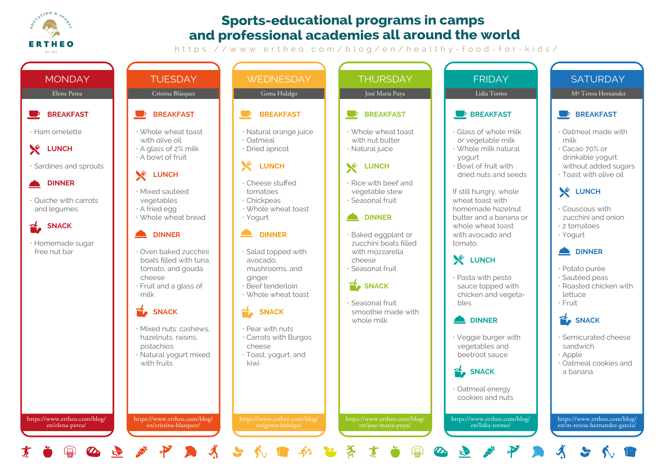

## **Sports-educational programs in camps and professional academies all around the world**

https://www.ertheo.com/blog/en/healthy-food-for-kids/



 $\mathbb{Q}$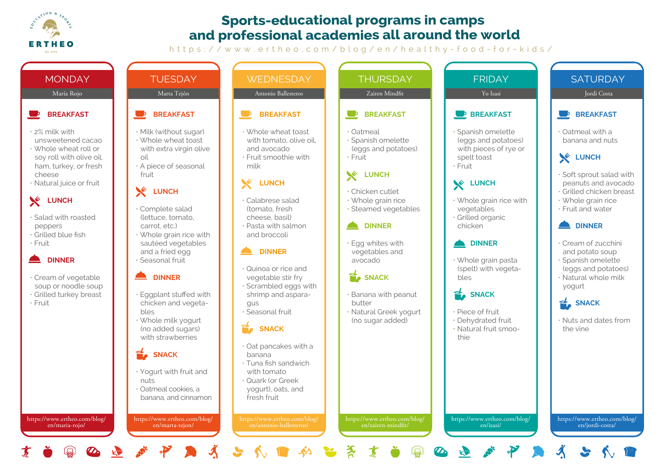

## **Sports-educational programs in camps and professional academies all around the world**

https://www.ertheo.com/blog/en/healthy-food-for-kids/

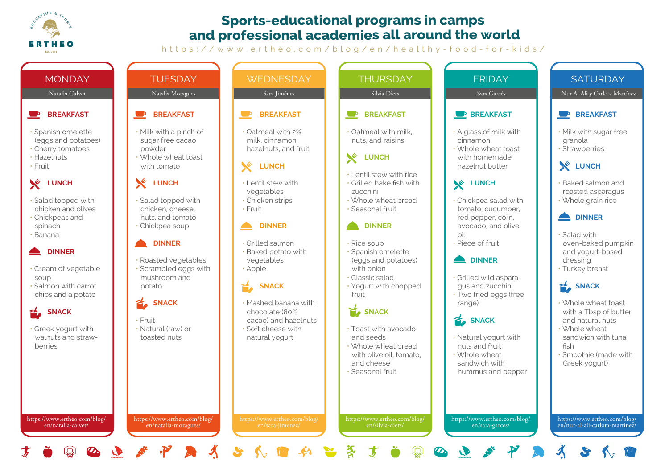

## **Sports-educational programs in camps and professional academies all around the world**

https://www.ertheo.com/blog/en/healthy-food-for-kids/